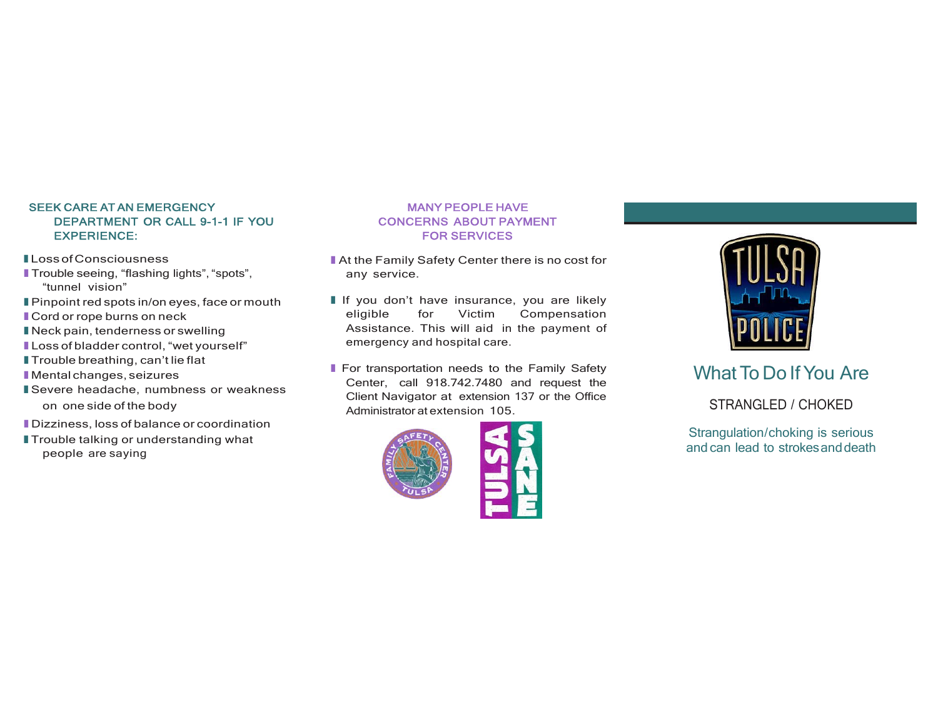## SEEK CARE AT AN EMERGENCY DEPARTMENT OR CALL 9-1-1 IF YOU EXPERIENCE:

- **ILOSS of Consciousness**
- l Trouble seeing, "flashing lights", "spots", "tunnel vision"
- **Pinpoint red spots in/on eyes, face or mouth**
- **Cord or rope burns on neck**
- **Neck pain, tenderness or swelling**
- **Loss of bladder control, "wet yourself"**
- **I** Trouble breathing, can't lie flat
- l Mental changes, seizures
- Severe headache, numbness or weakness

on one side of the body

- **Dizziness, loss of balance or coordination**
- **I** Trouble talking or understanding what people are saying

## MANY PEOPLE HAVE CONCERNS ABOUT PAYMENT FOR SERVICES

- **At the Family Safety Center there is no cost for** any service.
- If you don't have insurance, you are likely eligible for Victim Compensation Assistance. This will aid in the payment of emergency and hospital care.
- **For transportation needs to the Family Safety** Center, call 918.742.7480 and request the Client Navigator at extension 137 or the Office Administrator at extension 105.





# What To Do If You Are

STRANGLED / CHOKED

Strangulation/choking is serious and can lead to strokes and death